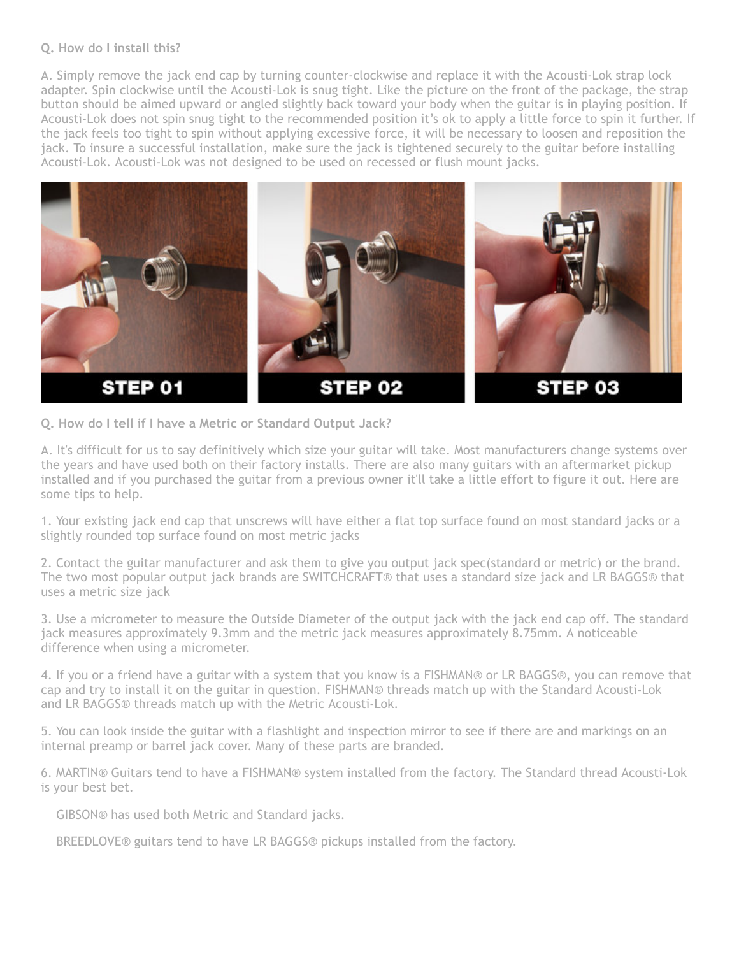#### **Q. How do I install this?**

A. Simply remove the jack end cap by turning counter-clockwise and replace it with the Acousti-Lok strap lock adapter. Spin clockwise until the Acousti-Lok is snug tight. Like the picture on the front of the package, the strap button should be aimed upward or angled slightly back toward your body when the guitar is in playing position. If Acousti-Lok does not spin snug tight to the recommended position it's ok to apply a little force to spin it further. If the jack feels too tight to spin without applying excessive force, it will be necessary to loosen and reposition the jack. To insure a successful installation, make sure the jack is tightened securely to the guitar before installing Acousti-Lok. Acousti-Lok was not designed to be used on recessed or flush mount jacks.



**Q. How do I tell if I have a Metric or Standard Output Jack?** 

A. It's difficult for us to say definitively which size your guitar will take. Most manufacturers change systems over the years and have used both on their factory installs. There are also many guitars with an aftermarket pickup installed and if you purchased the guitar from a previous owner it'll take a little effort to figure it out. Here are some tips to help.

1. Your existing jack end cap that unscrews will have either a flat top surface found on most standard jacks or a slightly rounded top surface found on most metric jacks

2. Contact the guitar manufacturer and ask them to give you output jack spec(standard or metric) or the brand. The two most popular output jack brands are SWITCHCRAFT® that uses a standard size jack and LR BAGGS® that uses a metric size jack

3. Use a micrometer to measure the Outside Diameter of the output jack with the jack end cap off. The standard jack measures approximately 9.3mm and the metric jack measures approximately 8.75mm. A noticeable difference when using a micrometer.

4. If you or a friend have a guitar with a system that you know is a FISHMAN® or LR BAGGS®, you can remove that cap and try to install it on the guitar in question. FISHMAN® threads match up with the Standard Acousti-Lok and LR BAGGS® threads match up with the Metric Acousti-Lok.

5. You can look inside the guitar with a flashlight and inspection mirror to see if there are and markings on an internal preamp or barrel jack cover. Many of these parts are branded.

6. MARTIN® Guitars tend to have a FISHMAN® system installed from the factory. The Standard thread Acousti-Lok is your best bet.

GIBSON® has used both Metric and Standard jacks.

BREEDLOVE® guitars tend to have LR BAGGS® pickups installed from the factory.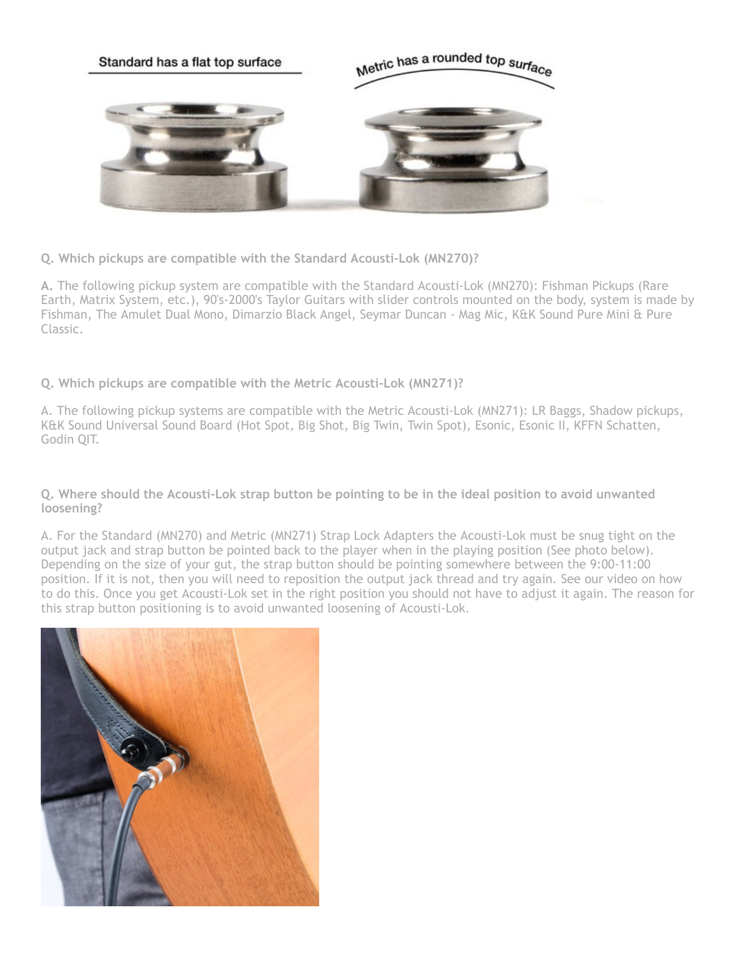

**Q. Which pickups are compatible with the Standard Acousti-Lok (MN270)?**

**A.** The following pickup system are compatible with the Standard Acousti-Lok (MN270): Fishman Pickups (Rare Earth, Matrix System, etc.), 90's-2000's Taylor Guitars with slider controls mounted on the body, system is made by Fishman, The Amulet Dual Mono, Dimarzio Black Angel, Seymar Duncan - Mag Mic, K&K Sound Pure Mini & Pure Classic.

**Q. Which pickups are compatible with the Metric Acousti-Lok (MN271)?**

A. The following pickup systems are compatible with the Metric Acousti-Lok (MN271): LR Baggs, Shadow pickups, K&K Sound Universal Sound Board (Hot Spot, Big Shot, Big Twin, Twin Spot), Esonic, Esonic II, KFFN Schatten, Godin QIT.

**Q. Where should the Acousti-Lok strap button be pointing to be in the ideal position to avoid unwanted loosening?**

A. For the Standard (MN270) and Metric (MN271) Strap Lock Adapters the Acousti-Lok must be snug tight on the output jack and strap button be pointed back to the player when in the playing position (See photo below). Depending on the size of your gut, the strap button should be pointing somewhere between the 9:00-11:00 position. If it is not, then you will need to reposition the output jack thread and try again. See our video on how to do this. Once you get Acousti-Lok set in the right position you should not have to adjust it again. The reason for this strap button positioning is to avoid unwanted loosening of Acousti-Lok.

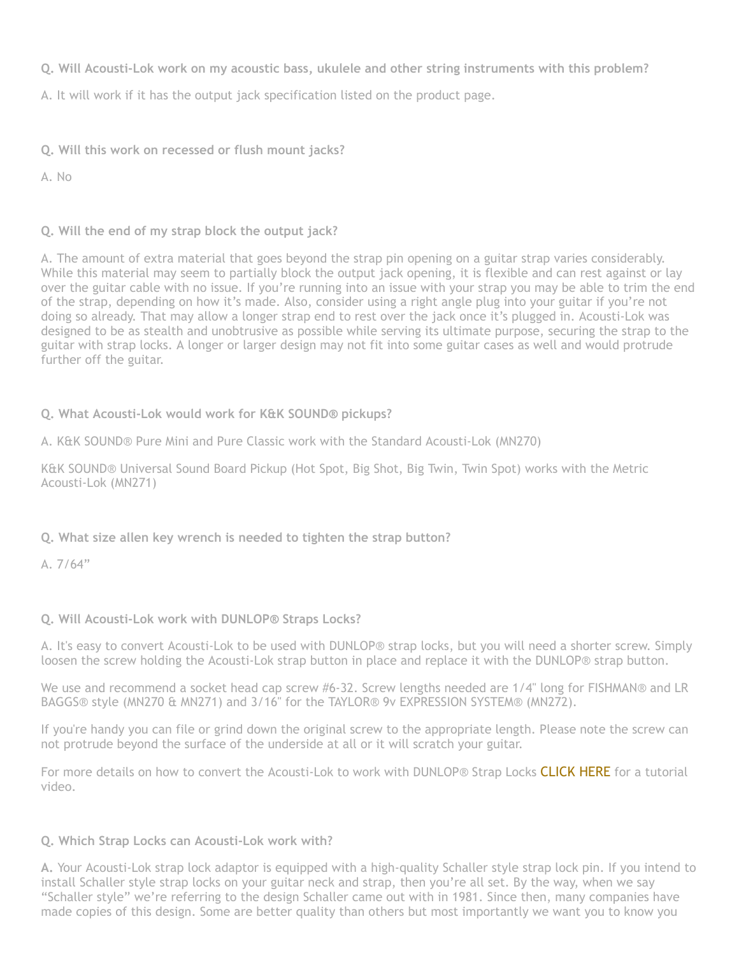**Q. Will Acousti-Lok work on my acoustic bass, ukulele and other string instruments with this problem?**

A. It will work if it has the output jack specification listed on the product page.

**Q. Will this work on recessed or flush mount jacks?** 

A. No

**Q. Will the end of my strap block the output jack?**

A. The amount of extra material that goes beyond the strap pin opening on a guitar strap varies considerably. While this material may seem to partially block the output jack opening, it is flexible and can rest against or lay over the guitar cable with no issue. If you're running into an issue with your strap you may be able to trim the end of the strap, depending on how it's made. Also, consider using a right angle plug into your guitar if you're not doing so already. That may allow a longer strap end to rest over the jack once it's plugged in. Acousti-Lok was designed to be as stealth and unobtrusive as possible while serving its ultimate purpose, securing the strap to the guitar with strap locks. A longer or larger design may not fit into some guitar cases as well and would protrude further off the guitar.

## **Q. What Acousti-Lok would work for K&K SOUND® pickups?**

A. K&K SOUND® Pure Mini and Pure Classic work with the Standard Acousti-Lok (MN270)

K&K SOUND® Universal Sound Board Pickup (Hot Spot, Big Shot, Big Twin, Twin Spot) works with the Metric Acousti-Lok (MN271)

# **Q. What size allen key wrench is needed to tighten the strap button?**

A.  $7/64"$ 

## **Q. Will Acousti-Lok work with DUNLOP® Straps Locks?**

A. It's easy to convert Acousti-Lok to be used with DUNLOP® strap locks, but you will need a shorter screw. Simply loosen the screw holding the Acousti-Lok strap button in place and replace it with the DUNLOP® strap button.

We use and recommend a socket head cap screw #6-32. Screw lengths needed are 1/4" long for FISHMAN® and LR BAGGS® style (MN270 & MN271) and 3/16" for the TAYLOR® 9v EXPRESSION SYSTEM® (MN272).

If you're handy you can file or grind down the original screw to the appropriate length. Please note the screw can not protrude beyond the surface of the underside at all or it will scratch your guitar.

For more details on how to convert the Acousti-Lok to work with DUNLOP® Strap Locks [CLICK HERE](https://youtu.be/AYHMXCUNniE) for a tutorial video.

## **Q. Which Strap Locks can Acousti-Lok work with?**

**A.** Your Acousti-Lok strap lock adaptor is equipped with a high-quality Schaller style strap lock pin. If you intend to install Schaller style strap locks on your guitar neck and strap, then you're all set. By the way, when we say "Schaller style" we're referring to the design Schaller came out with in 1981. Since then, many companies have made copies of this design. Some are better quality than others but most importantly we want you to know you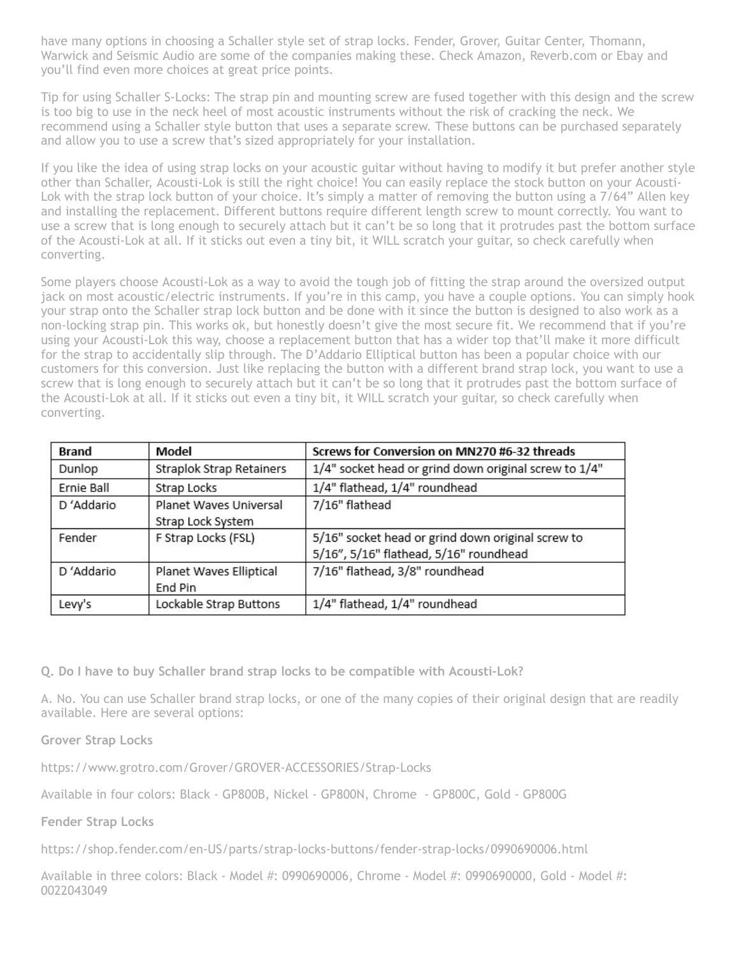have many options in choosing a Schaller style set of strap locks. Fender, Grover, Guitar Center, Thomann, Warwick and Seismic Audio are some of the companies making these. Check Amazon, Reverb.com or Ebay and you'll find even more choices at great price points.

Tip for using Schaller S-Locks: The strap pin and mounting screw are fused together with this design and the screw is too big to use in the neck heel of most acoustic instruments without the risk of cracking the neck. We recommend using a Schaller style button that uses a separate screw. These buttons can be purchased separately and allow you to use a screw that's sized appropriately for your installation.

If you like the idea of using strap locks on your acoustic guitar without having to modify it but prefer another style other than Schaller, Acousti-Lok is still the right choice! You can easily replace the stock button on your Acousti-Lok with the strap lock button of your choice. It's simply a matter of removing the button using a 7/64" Allen key and installing the replacement. Different buttons require different length screw to mount correctly. You want to use a screw that is long enough to securely attach but it can't be so long that it protrudes past the bottom surface of the Acousti-Lok at all. If it sticks out even a tiny bit, it WILL scratch your guitar, so check carefully when converting.

Some players choose Acousti-Lok as a way to avoid the tough job of fitting the strap around the oversized output jack on most acoustic/electric instruments. If you're in this camp, you have a couple options. You can simply hook your strap onto the Schaller strap lock button and be done with it since the button is designed to also work as a non-locking strap pin. This works ok, but honestly doesn't give the most secure fit. We recommend that if you're using your Acousti-Lok this way, choose a replacement button that has a wider top that'll make it more difficult for the strap to accidentally slip through. The D'Addario Elliptical button has been a popular choice with our customers for this conversion. Just like replacing the button with a different brand strap lock, you want to use a screw that is long enough to securely attach but it can't be so long that it protrudes past the bottom surface of the Acousti-Lok at all. If it sticks out even a tiny bit, it WILL scratch your guitar, so check carefully when converting.

| <b>Brand</b> | Model                                       | Screws for Conversion on MN270 #6-32 threads                                                |
|--------------|---------------------------------------------|---------------------------------------------------------------------------------------------|
| Dunlop       | Straplok Strap Retainers                    | 1/4" socket head or grind down original screw to 1/4"                                       |
| Ernie Ball   | Strap Locks                                 | 1/4" flathead, 1/4" roundhead                                                               |
| D'Addario    | Planet Waves Universal<br>Strap Lock System | 7/16" flathead                                                                              |
| Fender       | F Strap Locks (FSL)                         | 5/16" socket head or grind down original screw to<br>5/16", 5/16" flathead, 5/16" roundhead |
| D'Addario    | Planet Waves Elliptical<br>End Pin          | 7/16" flathead, 3/8" roundhead                                                              |
| Levy's       | Lockable Strap Buttons                      | 1/4" flathead, 1/4" roundhead                                                               |

**Q. Do I have to buy Schaller brand strap locks to be compatible with Acousti-Lok?**

A. No. You can use Schaller brand strap locks, or one of the many copies of their original design that are readily available. Here are several options:

**Grover Strap Locks**

https://www.grotro.com/Grover/GROVER-ACCESSORIES/Strap-Locks

Available in four colors: Black - GP800B, Nickel - GP800N, Chrome - GP800C, Gold - GP800G

**Fender Strap Locks**

https://shop.fender.com/en-US/parts/strap-locks-buttons/fender-strap-locks/0990690006.html

Available in three colors: Black - Model #: 0990690006, Chrome - Model #: 0990690000, Gold - Model #: 0022043049